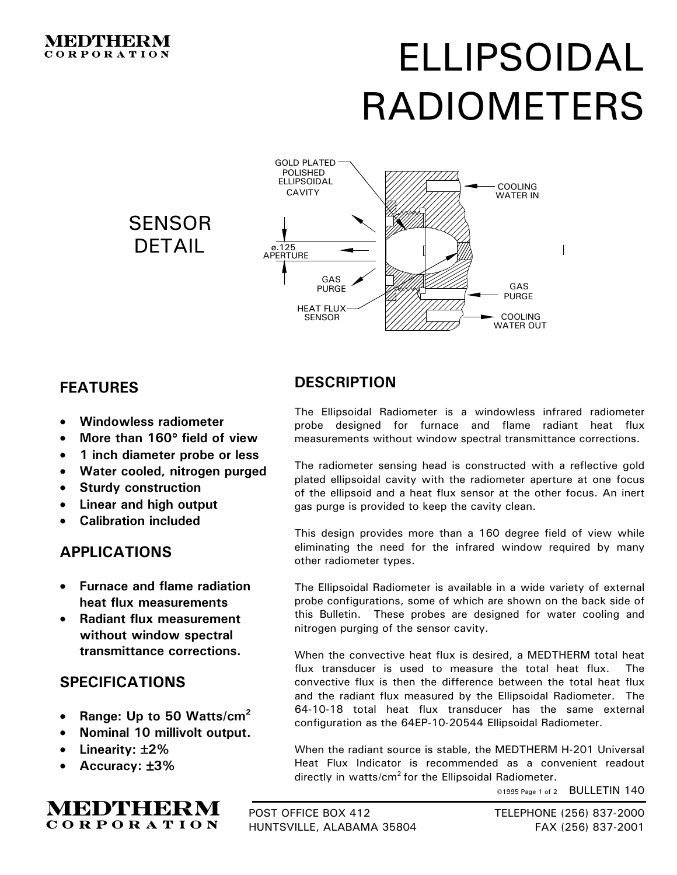#### MEDINHERMI **CORPORATION**

# ELLIPSOIDAL RADIOMETERS





## **FEATURES**

- **Windowless radiometer**
- **More than 160**° **field of view**
- **1 inch diameter probe or less**
- **Water cooled, nitrogen purged**
- **Sturdy construction**
- **Linear and high output**
- **Calibration included**

### **APPLICATIONS**

- **Furnace and flame radiation heat flux measurements**
- **Radiant flux measurement without window spectral transmittance corrections.**

### **SPECIFICATIONS**

- **Range: Up to 50 Watts/cm2**
- **Nominal 10 millivolt output.**
- **Linearity:** ±**2%**
- **Accuracy:** ±**3%**

**MEDTHERM CORPORATION** 



The Ellipsoidal Radiometer is a windowless infrared radiometer probe designed for furnace and flame radiant heat flux measurements without window spectral transmittance corrections.

The radiometer sensing head is constructed with a reflective gold plated ellipsoidal cavity with the radiometer aperture at one focus of the ellipsoid and a heat flux sensor at the other focus. An inert gas purge is provided to keep the cavity clean.

This design provides more than a 160 degree field of view while eliminating the need for the infrared window required by many other radiometer types.

The Ellipsoidal Radiometer is available in a wide variety of external probe configurations, some of which are shown on the back side of this Bulletin. These probes are designed for water cooling and nitrogen purging of the sensor cavity.

When the convective heat flux is desired, a MEDTHERM total heat flux transducer is used to measure the total heat flux. The convective flux is then the difference between the total heat flux and the radiant flux measured by the Ellipsoidal Radiometer. The 64-10-18 total heat flux transducer has the same external configuration as the 64EP-10-20544 Ellipsoidal Radiometer.

When the radiant source is stable, the MEDTHERM H-201 Universal Heat Flux Indicator is recommended as a convenient readout directly in watts/cm<sup>2</sup> for the Ellipsoidal Radiometer.

©1995 Page 1 of 2 BULLETIN 140